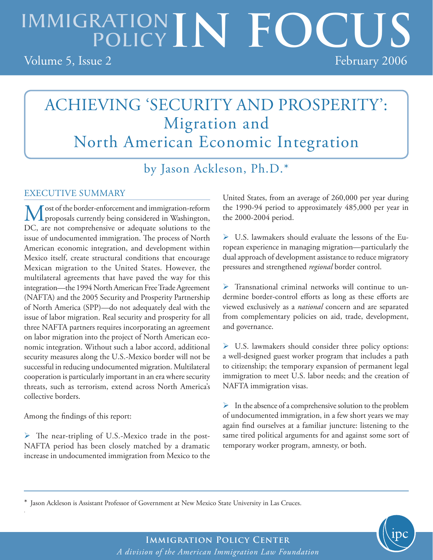# IMMIGRATION IN FOCUS Volume 5, Issue 2 February 2006

# ACHIEVING 'SECURITY AND PROSPERITY': Migration and North American Economic Integration

by Jason Ackleson, Ph.D.\*

### EXECUTIVE SUMMARY

American economic integration, and development within ropeal Most of the border-enforcement and immigration-reform proposals currently being considered in Washington, DC, are not comprehensive or adequate solutions to the issue of undocumented immigration. The process of North Mexico itself, create structural conditions that encourage Mexican migration to the United States. However, the multilateral agreements that have paved the way for this integration—the 1994 North American Free Trade Agreement (NAFTA) and the 2005 Security and Prosperity Partnership of North America (SPP)—do not adequately deal with the issue of labor migration. Real security and prosperity for all three NAFTA partners requires incorporating an agreement on labor migration into the project of North American economic integration. Without such a labor accord, additional security measures along the U.S.-Mexico border will not be successful in reducing undocumented migration. Multilateral cooperation is particularly important in an era where security threats, such as terrorism, extend across North America's collective borders.

Among the findings of this report:

.

 The near-tripling of U.S.-Mexico trade in the post-NAFTA period has been closely matched by a dramatic increase in undocumented immigration from Mexico to the United States, from an average of 260,000 per year during the 1990-94 period to approximately 485,000 per year in the 2000-2004 period.

 U.S. lawmakers should evaluate the lessons of the European experience in managing migration—particularly the dual approach of development assistance to reduce migratory pressures and strengthened *regional* border control.

 $\triangleright$  Transnational criminal networks will continue to undermine border-control efforts as long as these efforts are viewed exclusively as a *national* concern and are separated from complementary policies on aid, trade, development, and governance.

 $\triangleright$  U.S. lawmakers should consider three policy options: a well-designed guest worker program that includes a path to citizenship; the temporary expansion of permanent legal immigration to meet U.S. labor needs; and the creation of NAFTA immigration visas.

 $\triangleright$  In the absence of a comprehensive solution to the problem of undocumented immigration, in a few short years we may again find ourselves at a familiar juncture: listening to the same tired political arguments for and against some sort of temporary worker program, amnesty, or both.

\* Jason Ackleson is Assistant Professor of Government at New Mexico State University in Las Cruces.

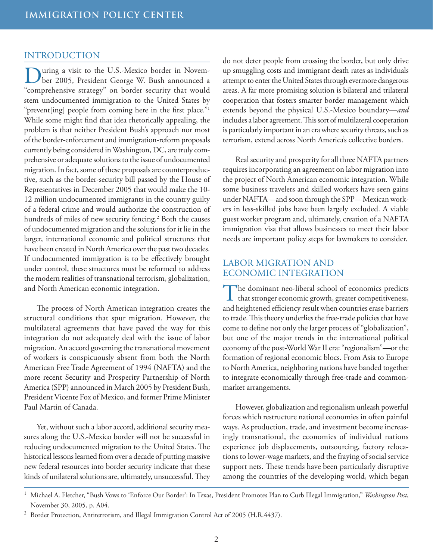#### INTRODUCTION

uring a visit to the U.S.-Mexico border in November 2005, President George W. Bush announced a "comprehensive strategy" on border security that would stem undocumented immigration to the United States by "prevent[ing] people from coming here in the first place."<sup>1</sup> While some might find that idea rhetorically appealing, the problem is that neither President Bush's approach nor most of the border-enforcement and immigration-reform proposals currently being considered in Washington, DC, are truly comprehensive or adequate solutions to the issue of undocumented migration. In fact, some of these proposals are counterproductive, such as the border-security bill passed by the House of Representatives in December 2005 that would make the 10- 12 million undocumented immigrants in the country guilty of a federal crime and would authorize the construction of hundreds of miles of new security fencing.<sup>2</sup> Both the causes of undocumented migration and the solutions for it lie in the larger, international economic and political structures that have been created in North America over the past two decades. If undocumented immigration is to be effectively brought under control, these structures must be reformed to address the modern realities of transnational terrorism, globalization, and North American economic integration.

The process of North American integration creates the structural conditions that spur migration. However, the multilateral agreements that have paved the way for this integration do not adequately deal with the issue of labor migration. An accord governing the transnational movement of workers is conspicuously absent from both the North American Free Trade Agreement of 1994 (NAFTA) and the more recent Security and Prosperity Partnership of North America (SPP) announced in March 2005 by President Bush, President Vicente Fox of Mexico, and former Prime Minister Paul Martin of Canada.

Yet, without such a labor accord, additional security measures along the U.S.-Mexico border will not be successful in reducing undocumented migration to the United States. The historical lessons learned from over a decade of putting massive new federal resources into border security indicate that these kinds of unilateral solutions are, ultimately, unsuccessful. They do not deter people from crossing the border, but only drive up smuggling costs and immigrant death rates as individuals attempt to enter the United States through evermore dangerous areas. A far more promising solution is bilateral and trilateral cooperation that fosters smarter border management which extends beyond the physical U.S.-Mexico boundary—*and* includes a labor agreement. This sort of multilateral cooperation is particularly important in an era where security threats, such as terrorism, extend across North America's collective borders.

Real security and prosperity for all three NAFTA partners requires incorporating an agreement on labor migration into the project of North American economic integration. While some business travelers and skilled workers have seen gains under NAFTA—and soon through the SPP—Mexican workers in less-skilled jobs have been largely excluded. A viable guest worker program and, ultimately, creation of a NAFTA immigration visa that allows businesses to meet their labor needs are important policy steps for lawmakers to consider.

#### LABOR MIGRATION AND ECONOMIC INTEGRATION

The dominant neo-liberal school of economics predicts that stronger economic growth, greater competitiveness, and heightened efficiency result when countries erase barriers to trade. This theory underlies the free-trade policies that have come to define not only the larger process of "globalization", but one of the major trends in the international political economy of the post-World War II era: "regionalism"—or the formation of regional economic blocs. From Asia to Europe to North America, neighboring nations have banded together to integrate economically through free-trade and commonmarket arrangements.

However, globalization and regionalism unleash powerful forces which restructure national economies in often painful ways. As production, trade, and investment become increasingly transnational, the economies of individual nations experience job displacements, outsourcing, factory relocations to lower-wage markets, and the fraying of social service support nets. These trends have been particularly disruptive among the countries of the developing world, which began

<sup>&</sup>lt;sup>1</sup> Michael A. Fletcher, "Bush Vows to 'Enforce Our Border': In Texas, President Promotes Plan to Curb Illegal Immigration," Washington Post, November 30, 2005, p. A04.

<sup>2</sup> Border Protection, Antiterrorism, and Illegal Immigration Control Act of 2005 (H.R.4437).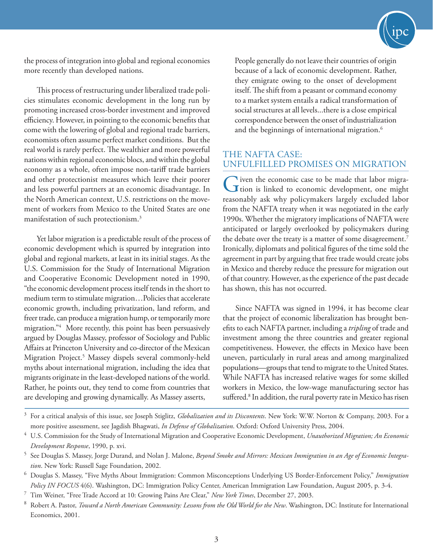

the process of integration into global and regional economies more recently than developed nations.

This process of restructuring under liberalized trade policies stimulates economic development in the long run by promoting increased cross-border investment and improved efficiency. However, in pointing to the economic benefits that come with the lowering of global and regional trade barriers, economists often assume perfect market conditions. But the real world is rarely perfect. The wealthier and more powerful nations within regional economic blocs, and within the global economy as a whole, often impose non-tariff trade barriers and other protectionist measures which leave their poorer and less powerful partners at an economic disadvantage. In the North American context, U.S. restrictions on the movement of workers from Mexico to the United States are one manifestation of such protectionism.3

Yet labor migration is a predictable result of the process of economic development which is spurred by integration into global and regional markets, at least in its initial stages. As the U.S. Commission for the Study of International Migration and Cooperative Economic Development noted in 1990, "the economic development process itself tends in the short to medium term to stimulate migration…Policies that accelerate economic growth, including privatization, land reform, and freer trade, can produce a migration hump, or temporarily more migration."4 More recently, this point has been persuasively argued by Douglas Massey, professor of Sociology and Public Affairs at Princeton University and co-director of the Mexican Migration Project.<sup>5</sup> Massey dispels several commonly-held myths about international migration, including the idea that migrants originate in the least-developed nations of the world. Rather, he points out, they tend to come from countries that are developing and growing dynamically. As Massey asserts,

People generally do not leave their countries of origin because of a lack of economic development. Rather, they emigrate owing to the onset of development itself. The shift from a peasant or command economy to a market system entails a radical transformation of social structures at all levels...there is a close empirical correspondence between the onset of industrialization and the beginnings of international migration.<sup>6</sup>

#### THE NAFTA CASE: UNFULFILLED PROMISES ON MIGRATION

Given the economic case to be made that labor migra-<br>tion is linked to economic development, one might reasonably ask why policymakers largely excluded labor from the NAFTA treaty when it was negotiated in the early 1990s. Whether the migratory implications of NAFTA were anticipated or largely overlooked by policymakers during the debate over the treaty is a matter of some disagreement.<sup>7</sup> Ironically, diplomats and political figures of the time sold the agreement in part by arguing that free trade would create jobs in Mexico and thereby reduce the pressure for migration out of that country. However, as the experience of the past decade has shown, this has not occurred.

Since NAFTA was signed in 1994, it has become clear that the project of economic liberalization has brought benefits to each NAFTA partner, including a *tripling* of trade and investment among the three countries and greater regional competitiveness. However, the effects in Mexico have been uneven, particularly in rural areas and among marginalized populations—groups that tend to migrate to the United States. While NAFTA has increased relative wages for some skilled workers in Mexico, the low-wage manufacturing sector has suffered.<sup>8</sup> In addition, the rural poverty rate in Mexico has risen

<sup>3</sup> For a critical analysis of this issue, see Joseph Stiglitz, *Globalization and its Discontents*. New York: W.W. Norton & Company, 2003. For a more positive assessment, see Jagdish Bhagwati, *In Defense of Globalization*. Oxford: Oxford University Press, 2004.

<sup>4</sup> U.S. Commission for the Study of International Migration and Cooperative Economic Development, *Unauthorized Migration; An Economic Development Response*, 1990, p. xvi.

<sup>5</sup> See Douglas S. Massey, Jorge Durand, and Nolan J. Malone, *Beyond Smoke and Mirrors: Mexican Immigration in an Age of Economic Integration*. New York: Russell Sage Foundation, 2002.

<sup>6</sup> Douglas S. Massey, "Five Myths About Immigration: Common Misconceptions Underlying US Border-Enforcement Policy," *Immigration Policy IN FOCUS* 4(6). Washington, DC: Immigration Policy Center, American Immigration Law Foundation, August 2005, p. 3-4.

<sup>7</sup> Tim Weiner, "Free Trade Accord at 10: Growing Pains Are Clear," *New York Times*, December 27, 2003.

<sup>8</sup> Robert A. Pastor, *Toward a North American Community: Lessons from the Old World for the New*. Washington, DC: Institute for International Economics, 2001.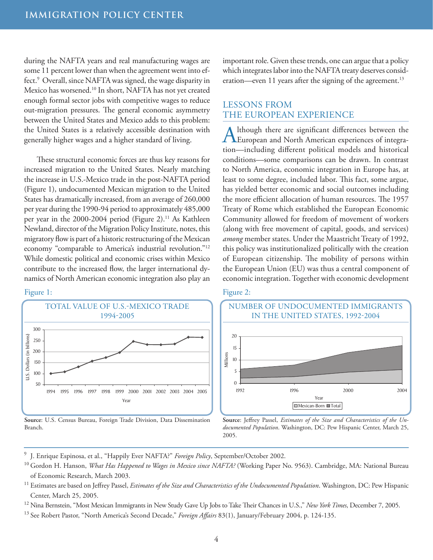during the NAFTA years and real manufacturing wages are some 11 percent lower than when the agreement went into effect.<sup>9</sup> Overall, since NAFTA was signed, the wage disparity in Mexico has worsened.10 In short, NAFTA has not yet created enough formal sector jobs with competitive wages to reduce out-migration pressures. The general economic asymmetry between the United States and Mexico adds to this problem: the United States is a relatively accessible destination with generally higher wages and a higher standard of living.

These structural economic forces are thus key reasons for increased migration to the United States. Nearly matching the increase in U.S.-Mexico trade in the post-NAFTA period (Figure 1), undocumented Mexican migration to the United States has dramatically increased, from an average of 260,000 per year during the 1990-94 period to approximately 485,000 per year in the 2000-2004 period (Figure 2).<sup>11</sup> As Kathleen Newland, director of the Migration Policy Institute, notes, this migratory flow is part of a historic restructuring of the Mexican economy "comparable to America's industrial revolution."12 While domestic political and economic crises within Mexico contribute to the increased flow, the larger international dynamics of North American economic integration also play an



Figure 1:

Source: U.S. Census Bureau, Foreign Trade Division, Data Dissemination Branch.

important role. Given these trends, one can argue that a policy which integrates labor into the NAFTA treaty deserves consideration—even 11 years after the signing of the agreement.<sup>13</sup>

#### LESSONS FROM THE EUROPEAN EXPERIENCE

Although there are significant differences between the European and North American experiences of integration—including different political models and historical conditions—some comparisons can be drawn. In contrast to North America, economic integration in Europe has, at least to some degree, included labor. This fact, some argue, has yielded better economic and social outcomes including the more efficient allocation of human resources. The 1957 Treaty of Rome which established the European Economic Community allowed for freedom of movement of workers (along with free movement of capital, goods, and services) *among* member states. Under the Maastricht Treaty of 1992, this policy was institutionalized politically with the creation of European citizenship. The mobility of persons within the European Union (EU) was thus a central component of economic integration. Together with economic development





**Source**: Jeffrey Passel, *Estimates of the Size and Characteristics of the Undocumented Population*. Washington, DC: Pew Hispanic Center, March 25, 2005.

- 9 J. Enrique Espinosa, et al., "Happily Ever NAFTA?" *Foreign Policy*, September/October 2002.
- <sup>10</sup> Gordon H. Hanson, *What Has Happened to Wages in Mexico since NAFTA?* (Working Paper No. 9563). Cambridge, MA: National Bureau of Economic Research, March 2003.
- <sup>11</sup> Estimates are based on Jeffrey Passel, *Estimates of the Size and Characteristics of the Undocumented Population*. Washington, DC: Pew Hispanic Center, March 25, 2005.
- <sup>12</sup> Nina Bernstein, "Most Mexican Immigrants in New Study Gave Up Jobs to Take Their Chances in U.S.," *New York Times*, December 7, 2005.
- <sup>13</sup> See Robert Pastor, "North America's Second Decade," *Foreign Affairs* 83(1), January/February 2004, p. 124-135.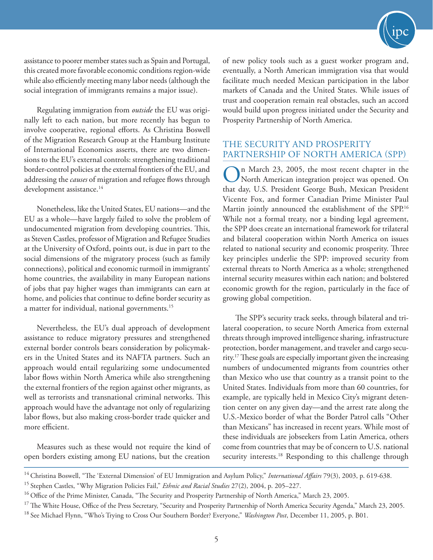

assistance to poorer member states such as Spain and Portugal, this created more favorable economic conditions region-wide while also efficiently meeting many labor needs (although the social integration of immigrants remains a major issue).

Regulating immigration from *outside* the EU was originally left to each nation, but more recently has begun to involve cooperative, regional efforts. As Christina Boswell of the Migration Research Group at the Hamburg Institute of International Economics asserts, there are two dimensions to the EU's external controls: strengthening traditional border-control policies at the external frontiers of the EU, and addressing the *causes* of migration and refugee flows through development assistance.<sup>14</sup>

Nonetheless, like the United States, EU nations—and the EU as a whole—have largely failed to solve the problem of undocumented migration from developing countries. This, as Steven Castles, professor of Migration and Refugee Studies at the University of Oxford, points out, is due in part to the social dimensions of the migratory process (such as family connections), political and economic turmoil in immigrants' home countries, the availability in many European nations of jobs that pay higher wages than immigrants can earn at home, and policies that continue to define border security as a matter for individual, national governments.<sup>15</sup>

Nevertheless, the EU's dual approach of development assistance to reduce migratory pressures and strengthened external border controls bears consideration by policymakers in the United States and its NAFTA partners. Such an approach would entail regularizing some undocumented labor flows within North America while also strengthening the external frontiers of the region against other migrants, as well as terrorists and transnational criminal networks. This approach would have the advantage not only of regularizing labor flows, but also making cross-border trade quicker and more efficient.

Measures such as these would not require the kind of open borders existing among EU nations, but the creation

of new policy tools such as a guest worker program and, eventually, a North American immigration visa that would facilitate much needed Mexican participation in the labor markets of Canada and the United States. While issues of trust and cooperation remain real obstacles, such an accord would build upon progress initiated under the Security and Prosperity Partnership of North America.

#### THE SECURITY AND PROSPERITY PARTNERSHIP OF NORTH AMERICA (SPP)

In March 23, 2005, the most recent chapter in the North American integration project was opened. On that day, U.S. President George Bush, Mexican President Vicente Fox, and former Canadian Prime Minister Paul Martin jointly announced the establishment of the SPP.<sup>16</sup> While not a formal treaty, nor a binding legal agreement, the SPP does create an international framework for trilateral and bilateral cooperation within North America on issues related to national security and economic prosperity. Three key principles underlie the SPP: improved security from external threats to North America as a whole; strengthened internal security measures within each nation; and bolstered economic growth for the region, particularly in the face of growing global competition.

The SPP's security track seeks, through bilateral and trilateral cooperation, to secure North America from external threats through improved intelligence sharing, infrastructure protection, border management, and traveler and cargo security.17 These goals are especially important given the increasing numbers of undocumented migrants from countries other than Mexico who use that country as a transit point to the United States. Individuals from more than 60 countries, for example, are typically held in Mexico City's migrant detention center on any given day—and the arrest rate along the U.S.-Mexico border of what the Border Patrol calls "Other than Mexicans" has increased in recent years. While most of these individuals are jobseekers from Latin America, others come from countries that may be of concern to U.S. national security interests.<sup>18</sup> Responding to this challenge through

<sup>&</sup>lt;sup>14</sup> Christina Boswell, "The 'External Dimension' of EU Immigration and Asylum Policy," International Affairs 79(3), 2003, p. 619-638.

<sup>15</sup> Stephen Castles, "Why Migration Policies Fail," *Ethnic and Racial Studies* 27(2), 2004, p. 205–227.

<sup>&</sup>lt;sup>16</sup> Office of the Prime Minister, Canada, "The Security and Prosperity Partnership of North America," March 23, 2005.

<sup>&</sup>lt;sup>17</sup> The White House, Office of the Press Secretary, "Security and Prosperity Partnership of North America Security Agenda," March 23, 2005. <sup>18</sup> See Michael Flynn, "Who's Trying to Cross Our Southern Border? Everyone," *Washington Post*, December 11, 2005, p. B01.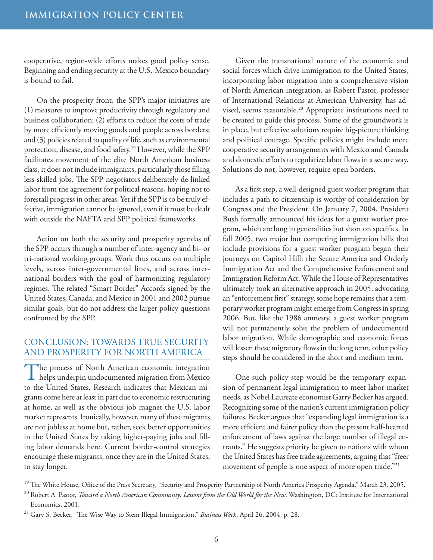cooperative, region-wide efforts makes good policy sense. Beginning and ending security at the U.S.-Mexico boundary is bound to fail.

On the prosperity front, the SPP's major initiatives are (1) measures to improve productivity through regulatory and business collaboration; (2) efforts to reduce the costs of trade by more efficiently moving goods and people across borders; and (3) policies related to quality of life, such as environmental protection, disease, and food safety.19 However, while the SPP facilitates movement of the elite North American business class, it does not include immigrants, particularly those filling less-skilled jobs. The SPP negotiators deliberately de-linked labor from the agreement for political reasons, hoping not to forestall progress in other areas. Yet if the SPP is to be truly effective, immigration cannot be ignored, even if it must be dealt with outside the NAFTA and SPP political frameworks.

Action on both the security and prosperity agendas of the SPP occurs through a number of inter-agency and bi- or tri-national working groups. Work thus occurs on multiple levels, across inter-governmental lines, and across international borders with the goal of harmonizing regulatory regimes. The related "Smart Border" Accords signed by the United States, Canada, and Mexico in 2001 and 2002 pursue similar goals, but do not address the larger policy questions confronted by the SPP.

#### CONCLUSION: TOWARDS TRUE SECURITY AND PROSPERITY FOR NORTH AMERICA

The process of North American economic integration<br>helps underpin undocumented migration from Mexico to the United States. Research indicates that Mexican migrants come here at least in part due to economic restructuring at home, as well as the obvious job magnet the U.S. labor market represents. Ironically, however, many of these migrants are not jobless at home but, rather, seek better opportunities in the United States by taking higher-paying jobs and filling labor demands here. Current border-control strategies encourage these migrants, once they are in the United States, to stay longer.

Given the transnational nature of the economic and social forces which drive immigration to the United States, incorporating labor migration into a comprehensive vision of North American integration, as Robert Pastor, professor of International Relations at American University, has advised, seems reasonable.20 Appropriate institutions need to be created to guide this process. Some of the groundwork is in place, but effective solutions require big-picture thinking and political courage. Specific policies might include more cooperative security arrangements with Mexico and Canada and domestic efforts to regularize labor flows in a secure way. Solutions do not, however, require open borders.

As a first step, a well-designed guest worker program that includes a path to citizenship is worthy of consideration by Congress and the President. On January 7, 2004, President Bush formally announced his ideas for a guest worker program, which are long in generalities but short on specifics. In fall 2005, two major but competing immigration bills that include provisions for a guest worker program began their journeys on Capitol Hill: the Secure America and Orderly Immigration Act and the Comprehensive Enforcement and Immigration Reform Act. While the House of Representatives ultimately took an alternative approach in 2005, advocating an "enforcement first" strategy, some hope remains that a temporary worker program might emerge from Congress in spring 2006. But, like the 1986 amnesty, a guest worker program will not permanently solve the problem of undocumented labor migration. While demographic and economic forces will lessen these migratory flows in the long term, other policy steps should be considered in the short and medium term.

One such policy step would be the temporary expansion of permanent legal immigration to meet labor market needs, as Nobel Laureate economist Garry Becker has argued. Recognizing some of the nation's current immigration policy failures, Becker argues that "expanding legal immigration is a more efficient and fairer policy than the present half-hearted enforcement of laws against the large number of illegal entrants." He suggests priority be given to nations with whom the United States has free trade agreements, arguing that "freer movement of people is one aspect of more open trade."21

<sup>19</sup> The White House, Office of the Press Secretary, "Security and Prosperity Partnership of North America Prosperity Agenda," March 23, 2005. <sup>20</sup> Robert A. Pastor, *Toward a North American Community: Lessons from the Old World for the New*. Washington, DC: Institute for International Economics, 2001.

<sup>21</sup> Gary S. Becker, "The Wise Way to Stem Illegal Immigration," *Business Week*, April 26, 2004, p. 28.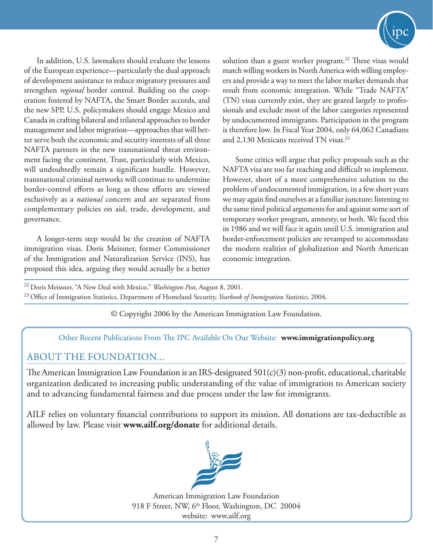

In addition, U.S. lawmakers should evaluate the lessons of the European experience—particularly the dual approach of development assistance to reduce migratory pressures and strengthen *regional* border control. Building on the cooperation fostered by NAFTA, the Smart Border accords, and the new SPP, U.S. policymakers should engage Mexico and Canada in crafting bilateral and trilateral approaches to border management and labor migration—approaches that will better serve both the economic and security interests of all three NAFTA partners in the new transnational threat environment facing the continent. Trust, particularly with Mexico, will undoubtedly remain a significant hurdle. However, transnational criminal networks will continue to undermine border-control efforts as long as these efforts are viewed exclusively as a *national* concern and are separated from complementary policies on aid, trade, development, and governance.

A longer-term step would be the creation of NAFTA immigration visas. Doris Meissner, former Commissioner of the Immigration and Naturalization Service (INS), has proposed this idea, arguing they would actually be a better solution than a guest worker program.<sup>22</sup> These visas would match willing workers in North America with willing employers and provide a way to meet the labor market demands that result from economic integration. While "Trade NAFTA" (TN) visas currently exist, they are geared largely to professionals and exclude most of the labor categories represented by undocumented immigrants. Participation in the program is therefore low. In Fiscal Year 2004, only 64,062 Canadians and 2,130 Mexicans received TN visas.<sup>23</sup>

Some critics will argue that policy proposals such as the NAFTA visa are too far reaching and difficult to implement. However, short of a more comprehensive solution to the problem of undocumented immigration, in a few short years we may again find ourselves at a familiar juncture: listening to the same tired political arguments for and against some sort of temporary worker program, amnesty, or both. We faced this in 1986 and we will face it again until U.S. immigration and border-enforcement policies are revamped to accommodate the modern realities of globalization and North American economic integration.

<sup>22</sup> Doris Meissner, "A New Deal with Mexico," *Washington Post*, August 8, 2001. <sup>23</sup> Office of Immigration Statistics, Department of Homeland Security, *Yearbook of Immigration Statistics*, 2004.

© Copyright 2006 by the American Immigration Law Foundation.

Other Recent Publications From The IPC Available On Our Website: **www.immigrationpolicy.org**

## ABOUT THE FOUNDATION...

The American Immigration Law Foundation is an IRS-designated 501(c)(3) non-profit, educational, charitable organization dedicated to increasing public understanding of the value of immigration to American society and to advancing fundamental fairness and due process under the law for immigrants.

AILF relies on voluntary financial contributions to support its mission. All donations are tax-deductible as allowed by law. Please visit **www.ailf.org/donate** for additional details.



American Immigration Law Foundation 918 F Street, NW, 6<sup>th</sup> Floor, Washington, DC 20004 website: www.ailf.org